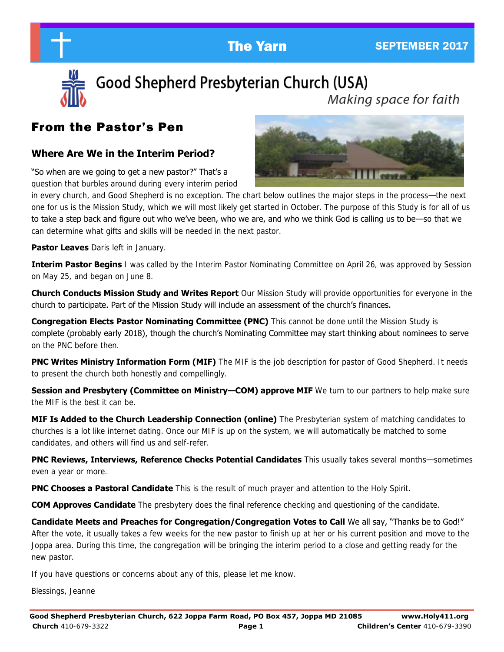

Good Shepherd Presbyterian Church (USA) Making space for faith

# From the Pastor's Pen

## **Where Are We in the Interim Period?**

"So when are we going to get a new pastor?" That's a question that burbles around during every interim period



in every church, and Good Shepherd is no exception. The chart below outlines the major steps in the process—the next one for us is the Mission Study, which we will most likely get started in October. The purpose of this Study is for all of us to take a step back and figure out who we've been, who we are, and who we think God is calling us to be—so that we can determine what gifts and skills will be needed in the next pastor.

**Pastor Leaves** Daris left in January.

**Interim Pastor Begins** I was called by the Interim Pastor Nominating Committee on April 26, was approved by Session on May 25, and began on June 8.

**Church Conducts Mission Study and Writes Report** Our Mission Study will provide opportunities for everyone in the church to participate. Part of the Mission Study will include an assessment of the church's finances.

**Congregation Elects Pastor Nominating Committee (PNC)** This cannot be done until the Mission Study is complete (probably early 2018), though the church's Nominating Committee may start thinking about nominees to serve on the PNC before then.

**PNC Writes Ministry Information Form (MIF)** The MIF is the job description for pastor of Good Shepherd. It needs to present the church both honestly and compellingly.

**Session and Presbytery (Committee on Ministry—COM) approve MIF** We turn to our partners to help make sure the MIF is the best it can be.

**MIF Is Added to the Church Leadership Connection (online)** The Presbyterian system of matching candidates to churches is a lot like internet dating. Once our MIF is up on the system, we will automatically be matched to some candidates, and others will find us and self-refer.

**PNC Reviews, Interviews, Reference Checks Potential Candidates** This usually takes several months—sometimes even a year or more.

**PNC Chooses a Pastoral Candidate** This is the result of much prayer and attention to the Holy Spirit.

**COM Approves Candidate** The presbytery does the final reference checking and questioning of the candidate.

**Candidate Meets and Preaches for Congregation/Congregation Votes to Call** We all say, "Thanks be to God!" After the vote, it usually takes a few weeks for the new pastor to finish up at her or his current position and move to the Joppa area. During this time, the congregation will be bringing the interim period to a close and getting ready for the new pastor.

If you have questions or concerns about any of this, please let me know.

Blessings, Jeanne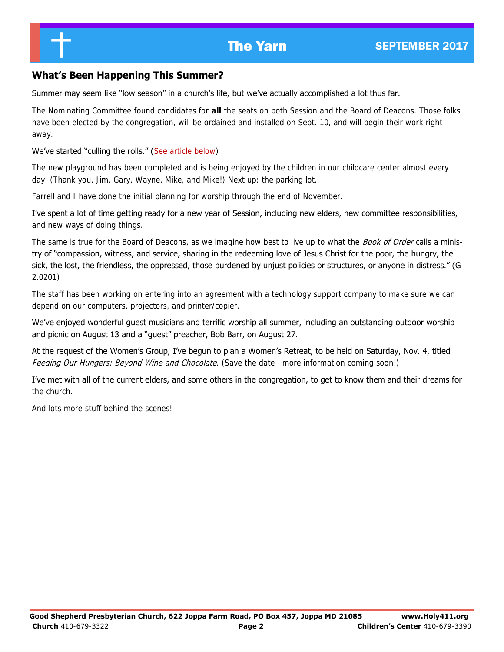## **What's Been Happening This Summer?**

#### Summer may seem like "low season" in a church's life, but we've actually accomplished a lot thus far.

The Nominating Committee found candidates for **all** the seats on both Session and the Board of Deacons. Those folks have been elected by the congregation, will be ordained and installed on Sept. 10, and will begin their work right away.

### We've started "culling the rolls." (See article below)

The new playground has been completed and is being enjoyed by the children in our childcare center almost every day. (Thank you, Jim, Gary, Wayne, Mike, and Mike!) Next up: the parking lot.

Farrell and I have done the initial planning for worship through the end of November.

I've spent a lot of time getting ready for a new year of Session, including new elders, new committee responsibilities, and new ways of doing things.

The same is true for the Board of Deacons, as we imagine how best to live up to what the Book of Order calls a ministry of "compassion, witness, and service, sharing in the redeeming love of Jesus Christ for the poor, the hungry, the sick, the lost, the friendless, the oppressed, those burdened by unjust policies or structures, or anyone in distress." (G-2.0201)

The staff has been working on entering into an agreement with a technology support company to make sure we can depend on our computers, projectors, and printer/copier.

We've enjoyed wonderful guest musicians and terrific worship all summer, including an outstanding outdoor worship and picnic on August 13 and a "guest" preacher, Bob Barr, on August 27.

At the request of the Women's Group, I've begun to plan a Women's Retreat, to be held on Saturday, Nov. 4, titled Feeding Our Hungers: Beyond Wine and Chocolate. (Save the date—more information coming soon!)

I've met with all of the current elders, and some others in the congregation, to get to know them and their dreams for the church.

And lots more stuff behind the scenes!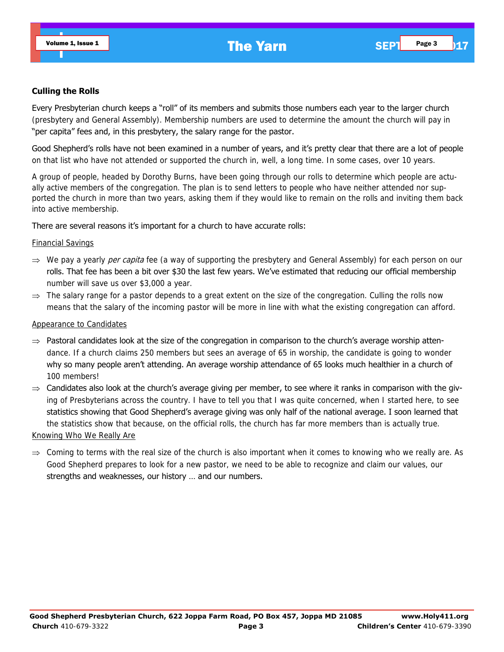#### **Culling the Rolls**

Every Presbyterian church keeps a "roll" of its members and submits those numbers each year to the larger church (presbytery and General Assembly). Membership numbers are used to determine the amount the church will pay in "per capita" fees and, in this presbytery, the salary range for the pastor.

Good Shepherd's rolls have not been examined in a number of years, and it's pretty clear that there are a lot of people on that list who have not attended or supported the church in, well, a long time. In some cases, over 10 years.

A group of people, headed by Dorothy Burns, have been going through our rolls to determine which people are actually active members of the congregation. The plan is to send letters to people who have neither attended nor supported the church in more than two years, asking them if they would like to remain on the rolls and inviting them back into active membership.

#### There are several reasons it's important for a church to have accurate rolls:

#### Financial Savings

- $\Rightarrow$  We pay a yearly *per capita* fee (a way of supporting the presbytery and General Assembly) for each person on our rolls. That fee has been a bit over \$30 the last few years. We've estimated that reducing our official membership number will save us over \$3,000 a year.
- $\Rightarrow$  The salary range for a pastor depends to a great extent on the size of the congregation. Culling the rolls now means that the salary of the incoming pastor will be more in line with what the existing congregation can afford.

#### Appearance to Candidates

- $\Rightarrow$  Pastoral candidates look at the size of the congregation in comparison to the church's average worship attendance. If a church claims 250 members but sees an average of 65 in worship, the candidate is going to wonder why so many people aren't attending. An average worship attendance of 65 looks much healthier in a church of 100 members!
- $\Rightarrow$  Candidates also look at the church's average giving per member, to see where it ranks in comparison with the giving of Presbyterians across the country. I have to tell you that I was quite concerned, when I started here, to see statistics showing that Good Shepherd's average giving was only half of the national average. I soon learned that the statistics show that because, on the official rolls, the church has far more members than is actually true. Knowing Who We Really Are
- $\Rightarrow$  Coming to terms with the real size of the church is also important when it comes to knowing who we really are. As Good Shepherd prepares to look for a new pastor, we need to be able to recognize and claim our values, our strengths and weaknesses, our history … and our numbers.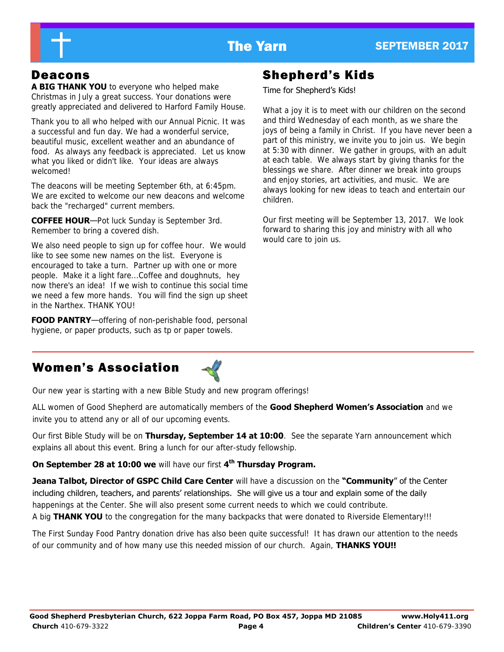

**A BIG THANK YOU** to everyone who helped make Christmas in July a great success. Your donations were greatly appreciated and delivered to Harford Family House.

Thank you to all who helped with our Annual Picnic. It was a successful and fun day. We had a wonderful service, beautiful music, excellent weather and an abundance of food. As always any feedback is appreciated. Let us know what you liked or didn't like. Your ideas are always welcomed!

The deacons will be meeting September 6th, at 6:45pm. We are excited to welcome our new deacons and welcome back the "recharged" current members.

**COFFEE HOUR**—Pot luck Sunday is September 3rd. Remember to bring a covered dish.

We also need people to sign up for coffee hour. We would like to see some new names on the list. Everyone is encouraged to take a turn. Partner up with one or more people. Make it a light fare...Coffee and doughnuts, hey now there's an idea! If we wish to continue this social time we need a few more hands. You will find the sign up sheet in the Narthex. THANK YOU!

**FOOD PANTRY**—offering of non-perishable food, personal hygiene, or paper products, such as tp or paper towels.

# Deacons Shepherd's Kids

Time for Shepherd's Kids!

What a joy it is to meet with our children on the second and third Wednesday of each month, as we share the joys of being a family in Christ. If you have never been a part of this ministry, we invite you to join us. We begin at 5:30 with dinner. We gather in groups, with an adult at each table. We always start by giving thanks for the blessings we share. After dinner we break into groups and enjoy stories, art activities, and music. We are always looking for new ideas to teach and entertain our children.

Our first meeting will be September 13, 2017. We look forward to sharing this joy and ministry with all who would care to join us.

# Women's Association



Our new year is starting with a new Bible Study and new program offerings!

ALL women of Good Shepherd are automatically members of the **Good Shepherd Women's Association** and we invite you to attend any or all of our upcoming events.

Our first Bible Study will be on **Thursday, September 14 at 10:00**. See the separate Yarn announcement which explains all about this event. Bring a lunch for our after-study fellowship.

**On September 28 at 10:00 we** will have our first **4th Thursday Program.** 

**Jeana Talbot, Director of GSPC Child Care Center** will have a discussion on the **"Community**" of the Center including children, teachers, and parents' relationships. She will give us a tour and explain some of the daily happenings at the Center. She will also present some current needs to which we could contribute. A big **THANK YOU** to the congregation for the many backpacks that were donated to Riverside Elementary!!!

The First Sunday Food Pantry donation drive has also been quite successful! It has drawn our attention to the needs of our community and of how many use this needed mission of our church. Again, **THANKS YOU!!**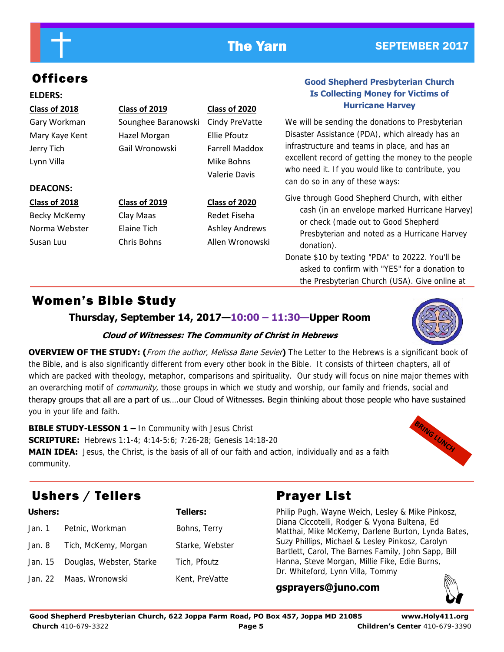## The Yarn SEPTEMBER 2017

# **Officers**

### **ELDERS:**

## **Class of 2018 Class of 2019 Class of 2020**

Jerry Tich Gail Wronowski Farrell Maddox Lynn Villa **Mike Bohns** Mike Bohns

## **DEACONS:**

Becky McKemy Clay Maas Redet Fiseha

# Gary Workman Sounghee Baranowski Cindy PreVatte Mary Kaye Kent Hazel Morgan Ellie Pfoutz

Valerie Davis

**Class of 2018 Class of 2019 Class of 2020** Norma Webster Elaine Tich Ashley Andrews Susan Luu Chris Bohns Allen Wronowski

**Hurricane Harvey**  We will be sending the donations to Presbyterian Disaster Assistance (PDA), which already has an infrastructure and teams in place, and has an excellent record of getting the money to the people

who need it. If you would like to contribute, you

can do so in any of these ways:

**Good Shepherd Presbyterian Church Is Collecting Money for Victims of** 

Give through Good Shepherd Church, with either cash (in an envelope marked Hurricane Harvey) or check (made out to Good Shepherd Presbyterian and noted as a Hurricane Harvey donation).

Donate \$10 by texting "PDA" to 20222. You'll be asked to confirm with "YES" for a donation to the Presbyterian Church (USA). Give online at

# Women's Bible Study

**Thursday, September 14, 2017—10:00 – 11:30—Upper Room** 



**OVERVIEW OF THE STUDY: (**From the author, Melissa Bane Sevier**)** The Letter to the Hebrews is a significant book of the Bible, and is also significantly different from every other book in the Bible. It consists of thirteen chapters, all of which are packed with theology, metaphor, comparisons and spirituality. Our study will focus on nine major themes with an overarching motif of *community*, those groups in which we study and worship, our family and friends, social and therapy groups that all are a part of us….our Cloud of Witnesses. Begin thinking about those people who have sustained you in your life and faith.

**BIBLE STUDY-LESSON 1 –** In Community with Jesus Christ **SCRIPTURE:** Hebrews 1:1-4; 4:14-5:6; 7:26-28; Genesis 14:18-20 **MAIN IDEA:** Jesus, the Christ, is the basis of all of our faith and action, individually and as a faith community.



# Ushers / Tellers **Prayer List**

| <b>Ushers:</b> |                                  | <b>Tellers:</b> |
|----------------|----------------------------------|-----------------|
|                | Jan. 1 Petnic, Workman           | Bohns, Terry    |
|                | Jan. 8 Tich, McKemy, Morgan      | Starke, Webster |
|                | Jan. 15 Douglas, Webster, Starke | Tich, Pfoutz    |
| Jan. 22        | Maas, Wronowski                  | Kent, PreVatte  |

Philip Pugh, Wayne Weich, Lesley & Mike Pinkosz, Diana Ciccotelli, Rodger & Vyona Bultena, Ed Matthai, Mike McKemy, Darlene Burton, Lynda Bates, Suzy Phillips, Michael & Lesley Pinkosz, Carolyn Bartlett, Carol, The Barnes Family, John Sapp, Bill Hanna, Steve Morgan, Millie Fike, Edie Burns, Dr. Whiteford, Lynn Villa, Tommy

**gsprayers@juno.com**